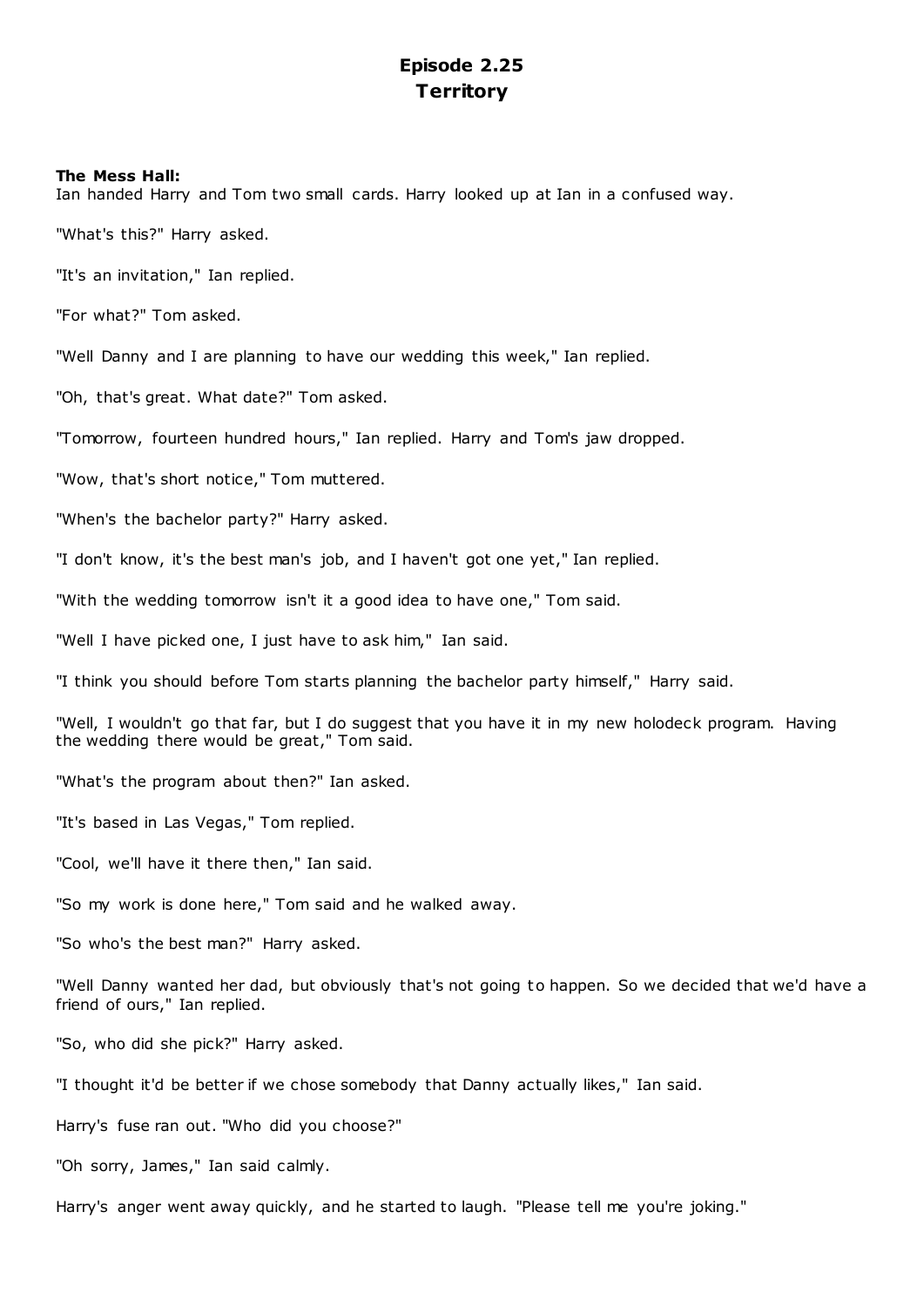# **Episode 2.25 Territory**

## **The Mess Hall:**

Ian handed Harry and Tom two small cards. Harry looked up at Ian in a confused way.

"What's this?" Harry asked.

"It's an invitation," Ian replied.

"For what?" Tom asked.

"Well Danny and I are planning to have our wedding this week," Ian replied.

"Oh, that's great. What date?" Tom asked.

"Tomorrow, fourteen hundred hours," Ian replied. Harry and Tom's jaw dropped.

"Wow, that's short notice," Tom muttered.

"When's the bachelor party?" Harry asked.

"I don't know, it's the best man's job, and I haven't got one yet," Ian replied.

"With the wedding tomorrow isn't it a good idea to have one," Tom said.

"Well I have picked one, I just have to ask him," Ian said.

"I think you should before Tom starts planning the bachelor party himself," Harry said.

"Well, I wouldn't go that far, but I do suggest that you have it in my new holodeck program. Having the wedding there would be great," Tom said.

"What's the program about then?" Ian asked.

"It's based in Las Vegas," Tom replied.

"Cool, we'll have it there then," Ian said.

"So my work is done here," Tom said and he walked away.

"So who's the best man?" Harry asked.

"Well Danny wanted her dad, but obviously that's not going to happen. So we decided that we'd have a friend of ours," Ian replied.

"So, who did she pick?" Harry asked.

"I thought it'd be better if we chose somebody that Danny actually likes," Ian said.

Harry's fuse ran out. "Who did you choose?"

"Oh sorry, James," Ian said calmly.

Harry's anger went away quickly, and he started to laugh. "Please tell me you're joking."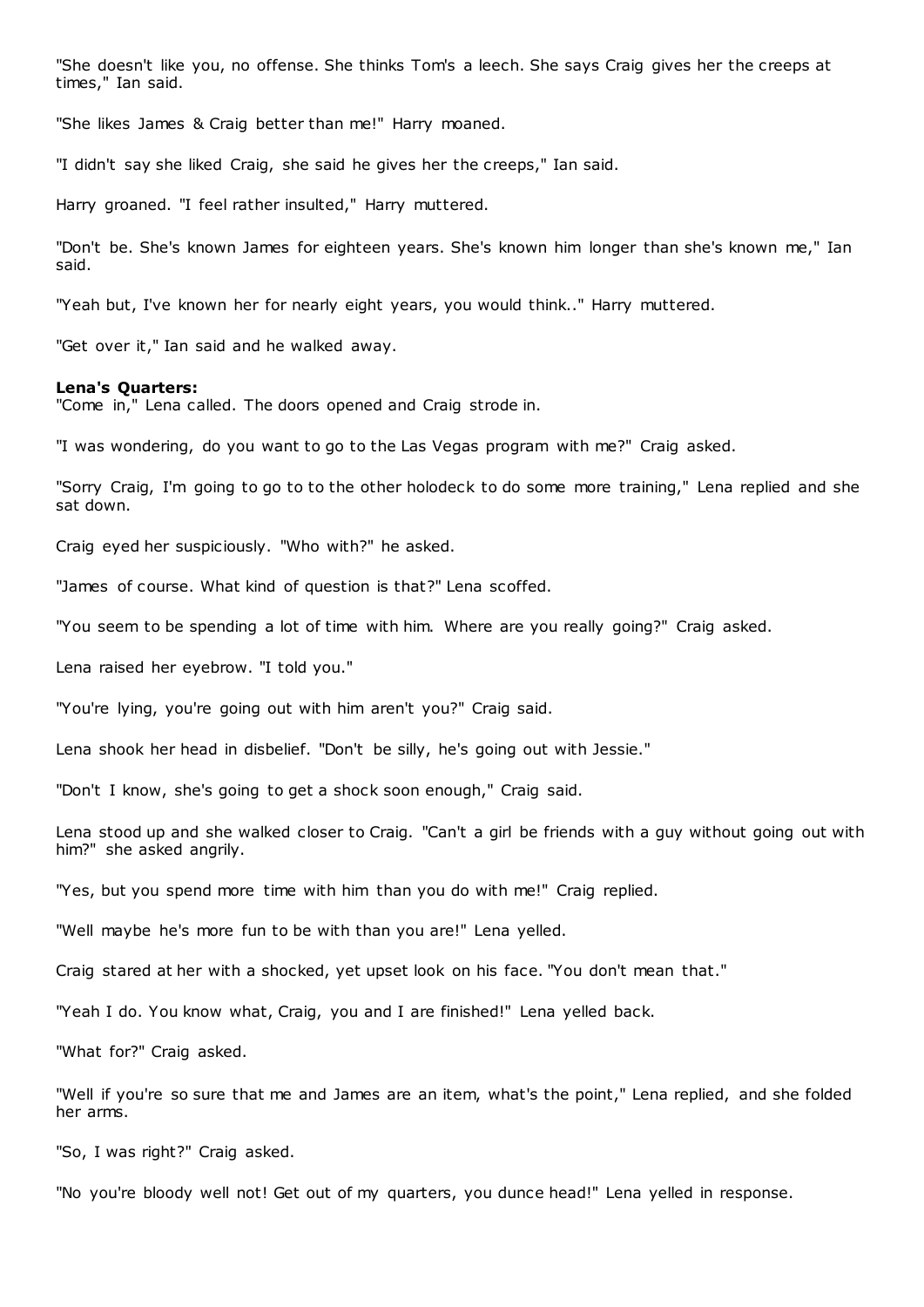"She doesn't like you, no offense. She thinks Tom's a leech. She says Craig gives her the creeps at times," Ian said.

"She likes James & Craig better than me!" Harry moaned.

"I didn't say she liked Craig, she said he gives her the creeps," Ian said.

Harry groaned. "I feel rather insulted," Harry muttered.

"Don't be. She's known James for eighteen years. She's known him longer than she's known me," Ian said.

"Yeah but, I've known her for nearly eight years, you would think.." Harry muttered.

"Get over it," Ian said and he walked away.

#### **Lena's Quarters:**

"Come in," Lena called. The doors opened and Craig strode in.

"I was wondering, do you want to go to the Las Vegas program with me?" Craig asked.

"Sorry Craig, I'm going to go to to the other holodeck to do some more training," Lena replied and she sat down.

Craig eyed her suspiciously. "Who with?" he asked.

"James of course. What kind of question is that?" Lena scoffed.

"You seem to be spending a lot of time with him. Where are you really going?" Craig asked.

Lena raised her eyebrow. "I told you."

"You're lying, you're going out with him aren't you?" Craig said.

Lena shook her head in disbelief. "Don't be silly, he's going out with Jessie."

"Don't I know, she's going to get a shock soon enough," Craig said.

Lena stood up and she walked closer to Craig. "Can't a girl be friends with a guy without going out with him?" she asked angrily.

"Yes, but you spend more time with him than you do with me!" Craig replied.

"Well maybe he's more fun to be with than you are!" Lena yelled.

Craig stared at her with a shocked, yet upset look on his face. "You don't mean that."

"Yeah I do. You know what, Craig, you and I are finished!" Lena yelled back.

"What for?" Craig asked.

"Well if you're so sure that me and James are an item, what's the point," Lena replied, and she folded her arms.

"So, I was right?" Craig asked.

"No you're bloody well not! Get out of my quarters, you dunce head!" Lena yelled in response.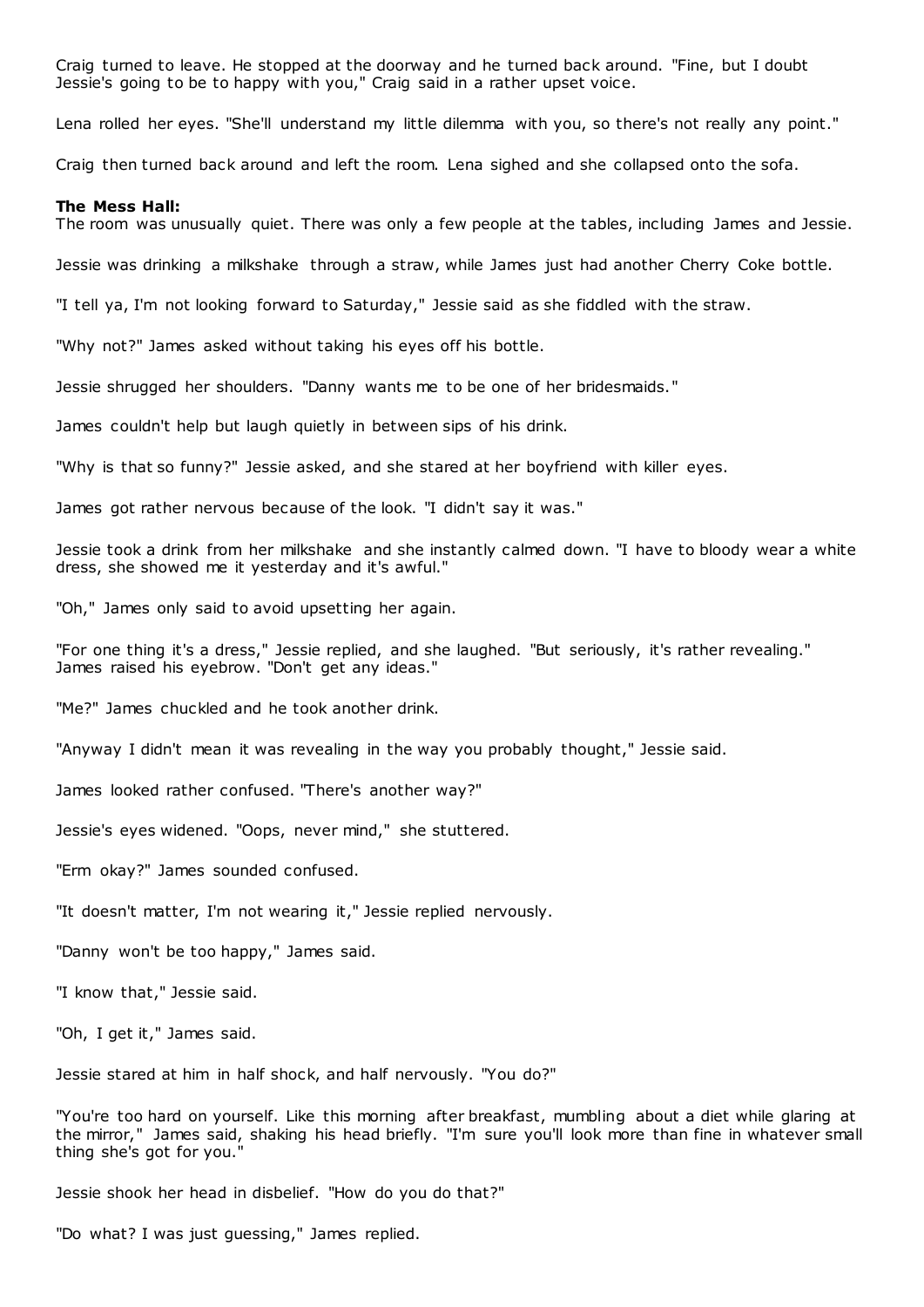Craig turned to leave. He stopped at the doorway and he turned back around. "Fine, but I doubt Jessie's going to be to happy with you," Craig said in a rather upset voice.

Lena rolled her eyes. "She'll understand my little dilemma with you, so there's not really any point."

Craig then turned back around and left the room. Lena sighed and she collapsed onto the sofa.

#### **The Mess Hall:**

The room was unusually quiet. There was only a few people at the tables, including James and Jessie.

Jessie was drinking a milkshake through a straw, while James just had another Cherry Coke bottle.

"I tell ya, I'm not looking forward to Saturday," Jessie said as she fiddled with the straw.

"Why not?" James asked without taking his eyes off his bottle.

Jessie shrugged her shoulders. "Danny wants me to be one of her bridesmaids."

James couldn't help but laugh quietly in between sips of his drink.

"Why is that so funny?" Jessie asked, and she stared at her boyfriend with killer eyes.

James got rather nervous because of the look. "I didn't say it was."

Jessie took a drink from her milkshake and she instantly calmed down. "I have to bloody wear a white dress, she showed me it yesterday and it's awful."

"Oh," James only said to avoid upsetting her again.

"For one thing it's a dress," Jessie replied, and she laughed. "But seriously, it's rather revealing." James raised his eyebrow. "Don't get any ideas."

"Me?" James chuckled and he took another drink.

"Anyway I didn't mean it was revealing in the way you probably thought," Jessie said.

James looked rather confused. "There's another way?"

Jessie's eyes widened. "Oops, never mind," she stuttered.

"Erm okay?" James sounded confused.

"It doesn't matter, I'm not wearing it," Jessie replied nervously.

"Danny won't be too happy," James said.

"I know that," Jessie said.

"Oh, I get it," James said.

Jessie stared at him in half shock, and half nervously. "You do?"

"You're too hard on yourself. Like this morning after breakfast, mumbling about a diet while glaring at the mirror," James said, shaking his head briefly. "I'm sure you'll look more than fine in whatever small thing she's got for you."

Jessie shook her head in disbelief. "How do you do that?"

"Do what? I was just guessing," James replied.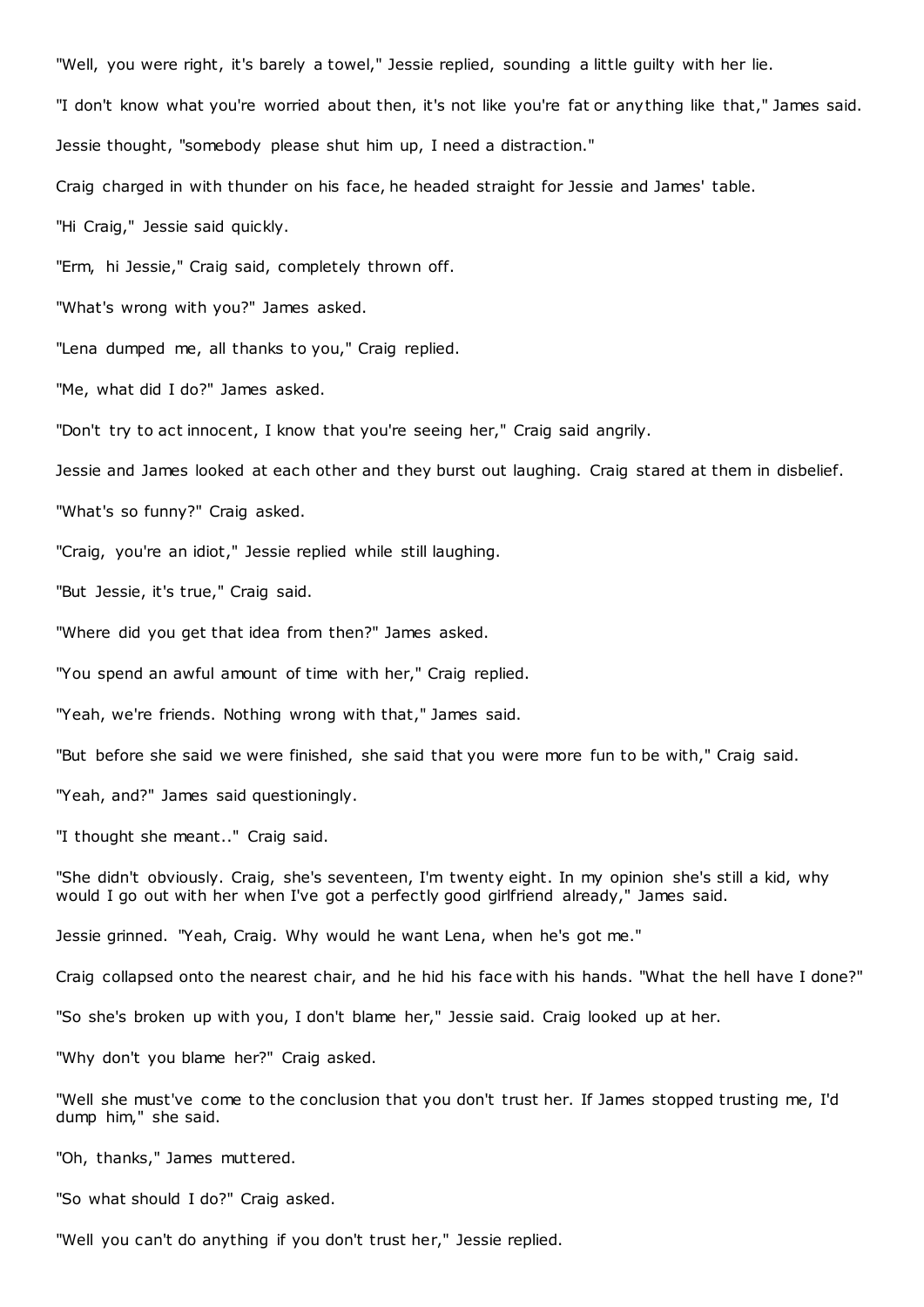"Well, you were right, it's barely a towel," Jessie replied, sounding a little guilty with her lie. "I don't know what you're worried about then, it's not like you're fat or anything like that," James said. Jessie thought, "somebody please shut him up, I need a distraction." Craig charged in with thunder on his face, he headed straight for Jessie and James' table. "Hi Craig," Jessie said quickly. "Erm, hi Jessie," Craig said, completely thrown off. "What's wrong with you?" James asked. "Lena dumped me, all thanks to you," Craig replied. "Me, what did I do?" James asked. "Don't try to act innocent, I know that you're seeing her," Craig said angrily. Jessie and James looked at each other and they burst out laughing. Craig stared at them in disbelief. "What's so funny?" Craig asked. "Craig, you're an idiot," Jessie replied while still laughing. "But Jessie, it's true," Craig said. "Where did you get that idea from then?" James asked. "You spend an awful amount of time with her," Craig replied. "Yeah, we're friends. Nothing wrong with that," James said. "But before she said we were finished, she said that you were more fun to be with," Craig said. "Yeah, and?" James said questioningly. "I thought she meant.." Craig said. "She didn't obviously. Craig, she's seventeen, I'm twenty eight. In my opinion she's still a kid, why would I go out with her when I've got a perfectly good girlfriend already," James said. Jessie grinned. "Yeah, Craig. Why would he want Lena, when he's got me." Craig collapsed onto the nearest chair, and he hid his face with his hands. "What the hell have I done?" "So she's broken up with you, I don't blame her," Jessie said. Craig looked up at her. "Why don't you blame her?" Craig asked. "Well she must've come to the conclusion that you don't trust her. If James stopped trusting me, I'd

dump him," she said.

"Oh, thanks," James muttered.

"So what should I do?" Craig asked.

"Well you can't do anything if you don't trust her," Jessie replied.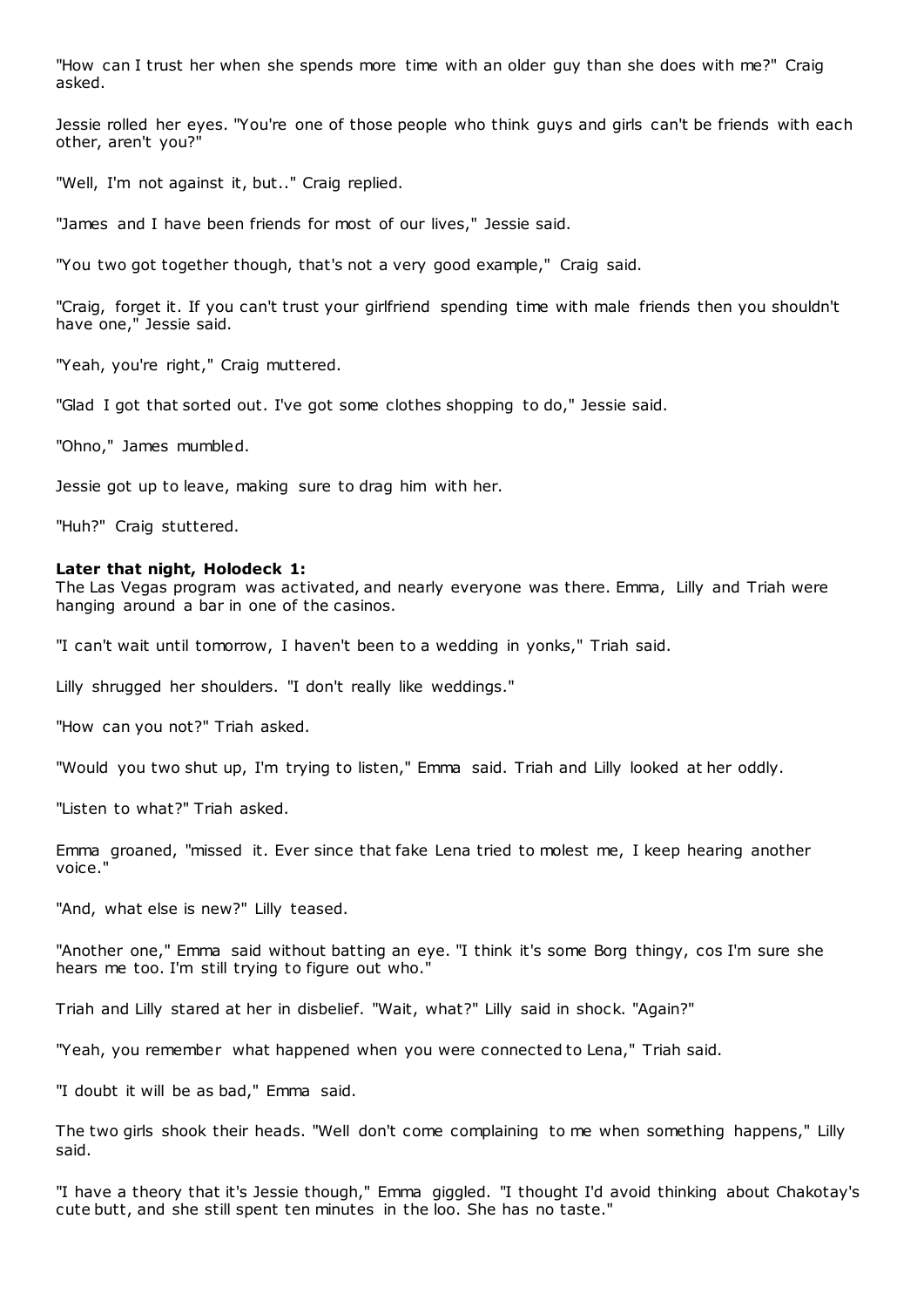"How can I trust her when she spends more time with an older guy than she does with me?" Craig asked.

Jessie rolled her eyes. "You're one of those people who think guys and girls can't be friends with each other, aren't you?"

"Well, I'm not against it, but.." Craig replied.

"James and I have been friends for most of our lives," Jessie said.

"You two got together though, that's not a very good example," Craig said.

"Craig, forget it. If you can't trust your girlfriend spending time with male friends then you shouldn't have one," Jessie said.

"Yeah, you're right," Craig muttered.

"Glad I got that sorted out. I've got some clothes shopping to do," Jessie said.

"Ohno," James mumbled.

Jessie got up to leave, making sure to drag him with her.

"Huh?" Craig stuttered.

#### **Later that night, Holodeck 1:**

The Las Vegas program was activated, and nearly everyone was there. Emma, Lilly and Triah were hanging around a bar in one of the casinos.

"I can't wait until tomorrow, I haven't been to a wedding in yonks," Triah said.

Lilly shrugged her shoulders. "I don't really like weddings."

"How can you not?" Triah asked.

"Would you two shut up, I'm trying to listen," Emma said. Triah and Lilly looked at her oddly.

"Listen to what?" Triah asked.

Emma groaned, "missed it. Ever since that fake Lena tried to molest me, I keep hearing another voice."

"And, what else is new?" Lilly teased.

"Another one," Emma said without batting an eye. "I think it's some Borg thingy, cos I'm sure she hears me too. I'm still trying to figure out who."

Triah and Lilly stared at her in disbelief. "Wait, what?" Lilly said in shock. "Again?"

"Yeah, you remember what happened when you were connected to Lena," Triah said.

"I doubt it will be as bad," Emma said.

The two girls shook their heads. "Well don't come complaining to me when something happens," Lilly said.

"I have a theory that it's Jessie though," Emma giggled. "I thought I'd avoid thinking about Chakotay's cute butt, and she still spent ten minutes in the loo. She has no taste."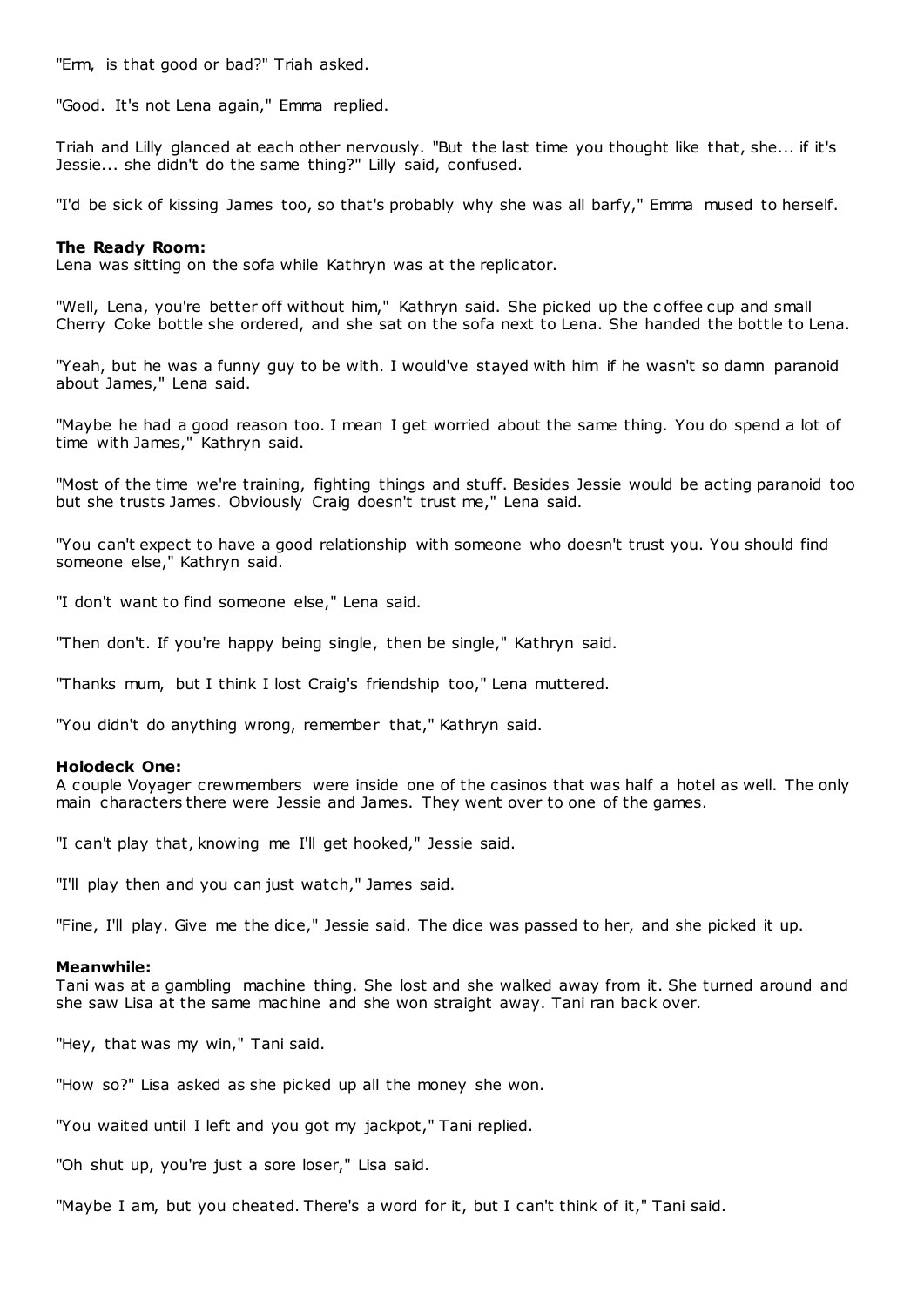"Erm, is that good or bad?" Triah asked.

"Good. It's not Lena again," Emma replied.

Triah and Lilly glanced at each other nervously. "But the last time you thought like that, she... if it's Jessie... she didn't do the same thing?" Lilly said, confused.

"I'd be sick of kissing James too, so that's probably why she was all barfy," Emma mused to herself.

#### **The Ready Room:**

Lena was sitting on the sofa while Kathryn was at the replicator.

"Well, Lena, you're better off without him," Kathryn said. She picked up the c offee cup and small Cherry Coke bottle she ordered, and she sat on the sofa next to Lena. She handed the bottle to Lena.

"Yeah, but he was a funny guy to be with. I would've stayed with him if he wasn't so damn paranoid about James," Lena said.

"Maybe he had a good reason too. I mean I get worried about the same thing. You do spend a lot of time with James," Kathryn said.

"Most of the time we're training, fighting things and stuff. Besides Jessie would be acting paranoid too but she trusts James. Obviously Craig doesn't trust me," Lena said.

"You can't expect to have a good relationship with someone who doesn't trust you. You should find someone else," Kathryn said.

"I don't want to find someone else," Lena said.

"Then don't. If you're happy being single, then be single," Kathryn said.

"Thanks mum, but I think I lost Craig's friendship too," Lena muttered.

"You didn't do anything wrong, remember that," Kathryn said.

#### **Holodeck One:**

A couple Voyager crewmembers were inside one of the casinos that was half a hotel as well. The only main characters there were Jessie and James. They went over to one of the games.

"I can't play that, knowing me I'll get hooked," Jessie said.

"I'll play then and you can just watch," James said.

"Fine, I'll play. Give me the dice," Jessie said. The dice was passed to her, and she picked it up.

#### **Meanwhile:**

Tani was at a gambling machine thing. She lost and she walked away from it. She turned around and she saw Lisa at the same machine and she won straight away. Tani ran back over.

"Hey, that was my win," Tani said.

"How so?" Lisa asked as she picked up all the money she won.

"You waited until I left and you got my jackpot," Tani replied.

"Oh shut up, you're just a sore loser," Lisa said.

"Maybe I am, but you cheated. There's a word for it, but I can't think of it," Tani said.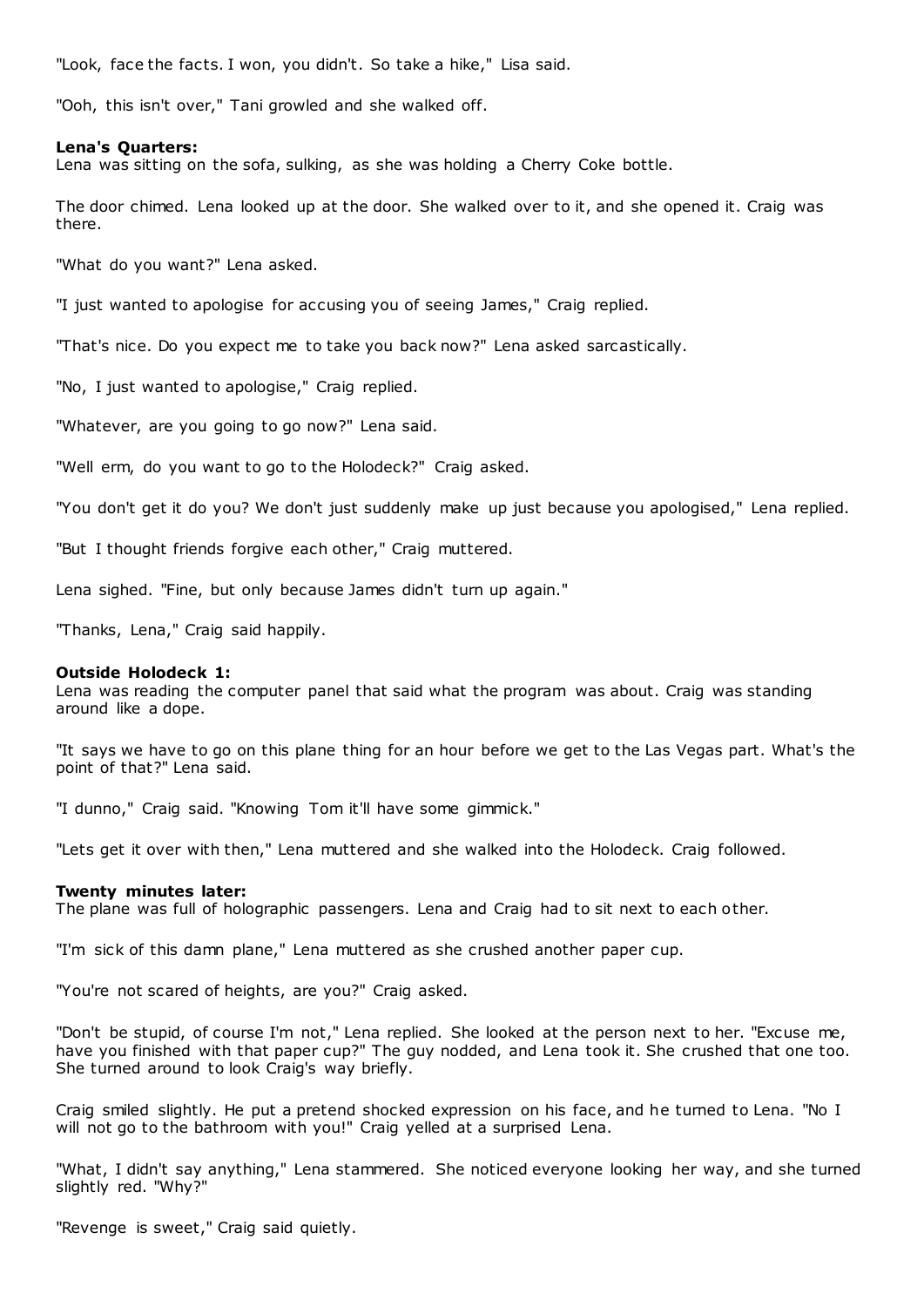"Look, face the facts. I won, you didn't. So take a hike," Lisa said.

"Ooh, this isn't over," Tani growled and she walked off.

#### **Lena's Quarters:**

Lena was sitting on the sofa, sulking, as she was holding a Cherry Coke bottle.

The door chimed. Lena looked up at the door. She walked over to it, and she opened it. Craig was there.

"What do you want?" Lena asked.

"I just wanted to apologise for accusing you of seeing James," Craig replied.

"That's nice. Do you expect me to take you back now?" Lena asked sarcastically.

"No, I just wanted to apologise," Craig replied.

"Whatever, are you going to go now?" Lena said.

"Well erm, do you want to go to the Holodeck?" Craig asked.

"You don't get it do you? We don't just suddenly make up just because you apologised," Lena replied.

"But I thought friends forgive each other," Craig muttered.

Lena sighed. "Fine, but only because James didn't turn up again."

"Thanks, Lena," Craig said happily.

# **Outside Holodeck 1:**

Lena was reading the computer panel that said what the program was about. Craig was standing around like a dope.

"It says we have to go on this plane thing for an hour before we get to the Las Vegas part. What's the point of that?" Lena said.

"I dunno," Craig said. "Knowing Tom it'll have some gimmick."

"Lets get it over with then," Lena muttered and she walked into the Holodeck. Craig followed.

## **Twenty minutes later:**

The plane was full of holographic passengers. Lena and Craig had to sit next to each other.

"I'm sick of this damn plane," Lena muttered as she crushed another paper cup.

"You're not scared of heights, are you?" Craig asked.

"Don't be stupid, of course I'm not," Lena replied. She looked at the person next to her. "Excuse me, have you finished with that paper cup?" The guy nodded, and Lena took it. She crushed that one too. She turned around to look Craig's way briefly.

Craig smiled slightly. He put a pretend shocked expression on his face, and he turned to Lena. "No I will not go to the bathroom with you!" Craig yelled at a surprised Lena.

"What, I didn't say anything," Lena stammered. She noticed everyone looking her way, and she turned slightly red. "Why?"

"Revenge is sweet," Craig said quietly.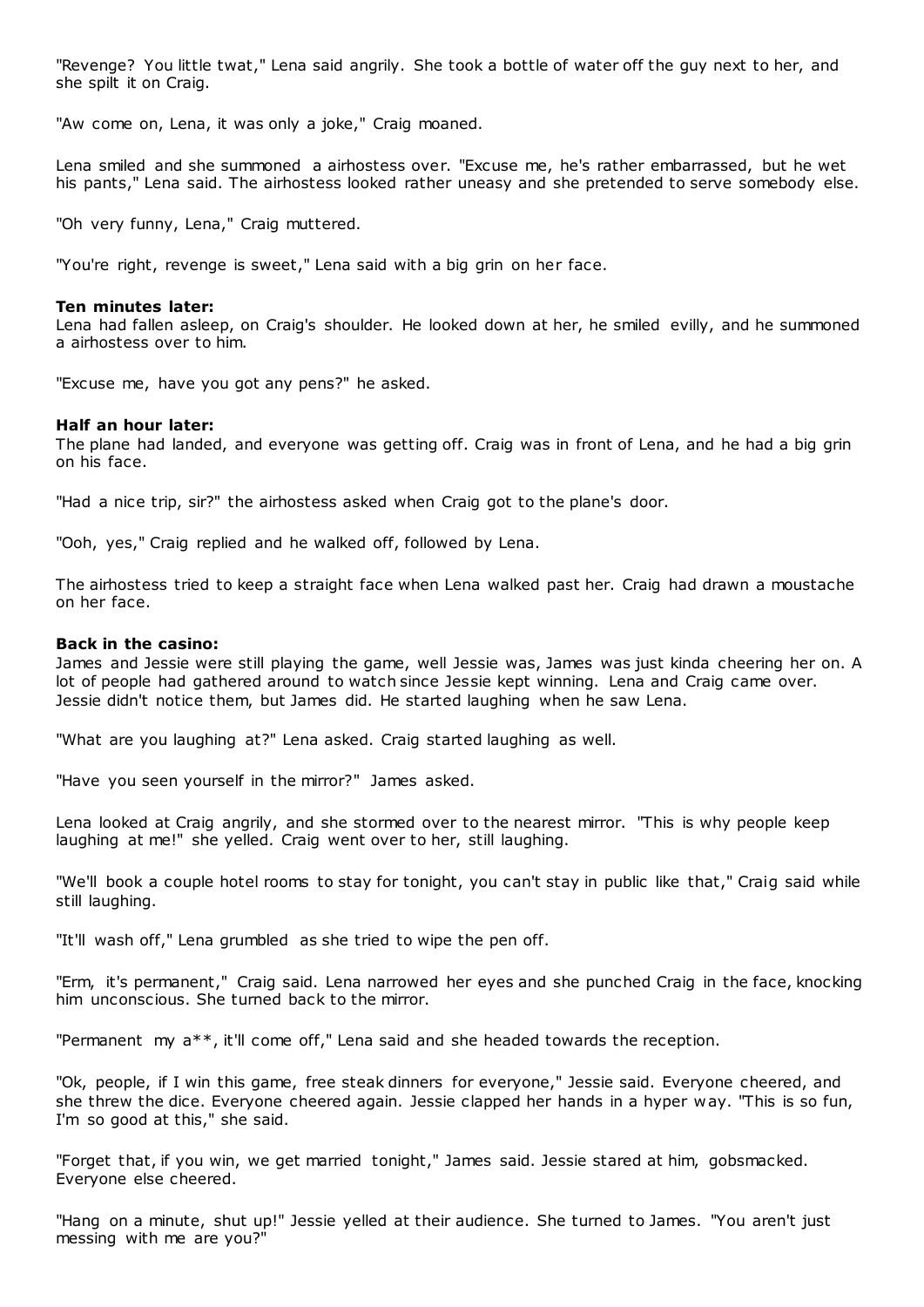"Revenge? You little twat," Lena said angrily. She took a bottle of water off the guy next to her, and she spilt it on Craig.

"Aw come on, Lena, it was only a joke," Craig moaned.

Lena smiled and she summoned a airhostess over. "Excuse me, he's rather embarrassed, but he wet his pants," Lena said. The airhostess looked rather uneasy and she pretended to serve somebody else.

"Oh very funny, Lena," Craig muttered.

"You're right, revenge is sweet," Lena said with a big grin on her face.

#### **Ten minutes later:**

Lena had fallen asleep, on Craig's shoulder. He looked down at her, he smiled evilly, and he summoned a airhostess over to him.

"Excuse me, have you got any pens?" he asked.

#### **Half an hour later:**

The plane had landed, and everyone was getting off. Craig was in front of Lena, and he had a big grin on his face.

"Had a nice trip, sir?" the airhostess asked when Craig got to the plane's door.

"Ooh, yes," Craig replied and he walked off, followed by Lena.

The airhostess tried to keep a straight face when Lena walked past her. Craig had drawn a moustache on her face.

# **Back in the casino:**

James and Jessie were still playing the game, well Jessie was, James was just kinda cheering her on. A lot of people had gathered around to watch since Jessie kept winning. Lena and Craig came over. Jessie didn't notice them, but James did. He started laughing when he saw Lena.

"What are you laughing at?" Lena asked. Craig started laughing as well.

"Have you seen yourself in the mirror?" James asked.

Lena looked at Craig angrily, and she stormed over to the nearest mirror. "This is why people keep laughing at me!" she yelled. Craig went over to her, still laughing.

"We'll book a couple hotel rooms to stay for tonight, you can't stay in public like that," Craig said while still laughing.

"It'll wash off," Lena grumbled as she tried to wipe the pen off.

"Erm, it's permanent," Craig said. Lena narrowed her eyes and she punched Craig in the face, knocking him unconscious. She turned back to the mirror.

"Permanent my a\*\*, it'll come off," Lena said and she headed towards the reception.

"Ok, people, if I win this game, free steak dinners for everyone," Jessie said. Everyone cheered, and she threw the dice. Everyone cheered again. Jessie clapped her hands in a hyper w ay. "This is so fun, I'm so good at this," she said.

"Forget that, if you win, we get married tonight," James said. Jessie stared at him, gobsmacked. Everyone else cheered.

"Hang on a minute, shut up!" Jessie yelled at their audience. She turned to James. "You aren't just messing with me are you?"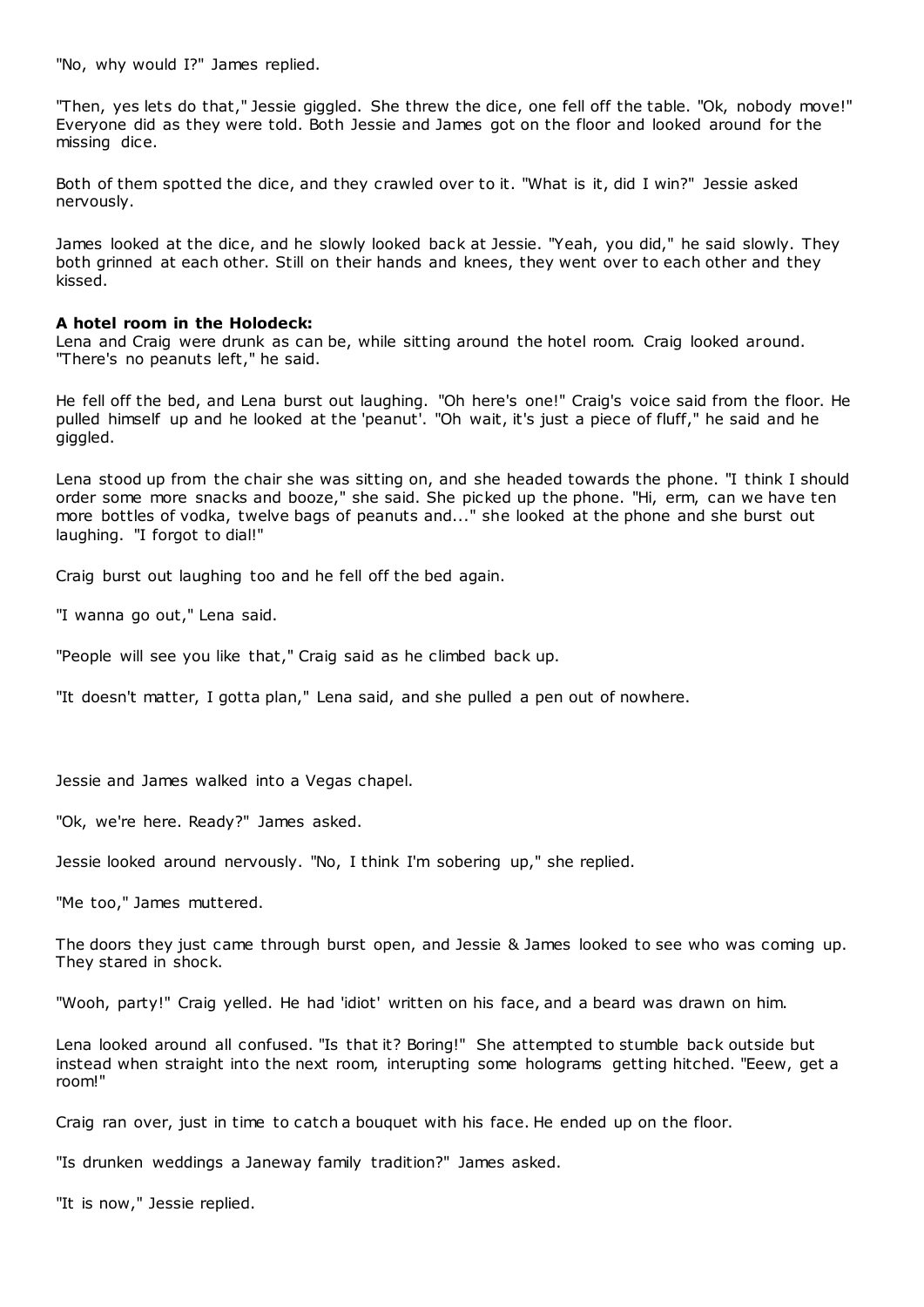"No, why would I?" James replied.

"Then, yes lets do that," Jessie giggled. She threw the dice, one fell off the table. "Ok, nobody move!" Everyone did as they were told. Both Jessie and James got on the floor and looked around for the missing dice.

Both of them spotted the dice, and they crawled over to it. "What is it, did I win?" Jessie asked nervously.

James looked at the dice, and he slowly looked back at Jessie. "Yeah, you did," he said slowly. They both grinned at each other. Still on their hands and knees, they went over to each other and they kissed.

## **A hotel room in the Holodeck:**

Lena and Craig were drunk as can be, while sitting around the hotel room. Craig looked around. "There's no peanuts left," he said.

He fell off the bed, and Lena burst out laughing. "Oh here's one!" Craig's voice said from the floor. He pulled himself up and he looked at the 'peanut'. "Oh wait, it's just a piece of fluff," he said and he giggled.

Lena stood up from the chair she was sitting on, and she headed towards the phone. "I think I should order some more snacks and booze," she said. She picked up the phone. "Hi, erm, can we have ten more bottles of vodka, twelve bags of peanuts and..." she looked at the phone and she burst out laughing. "I forgot to dial!"

Craig burst out laughing too and he fell off the bed again.

"I wanna go out," Lena said.

"People will see you like that," Craig said as he climbed back up.

"It doesn't matter, I gotta plan," Lena said, and she pulled a pen out of nowhere.

Jessie and James walked into a Vegas chapel.

"Ok, we're here. Ready?" James asked.

Jessie looked around nervously. "No, I think I'm sobering up," she replied.

"Me too," James muttered.

The doors they just came through burst open, and Jessie & James looked to see who was coming up. They stared in shock.

"Wooh, party!" Craig yelled. He had 'idiot' written on his face, and a beard was drawn on him.

Lena looked around all confused. "Is that it? Boring!" She attempted to stumble back outside but instead when straight into the next room, interupting some holograms getting hitched. "Eeew, get a room!"

Craig ran over, just in time to catch a bouquet with his face. He ended up on the floor.

"Is drunken weddings a Janeway family tradition?" James asked.

"It is now," Jessie replied.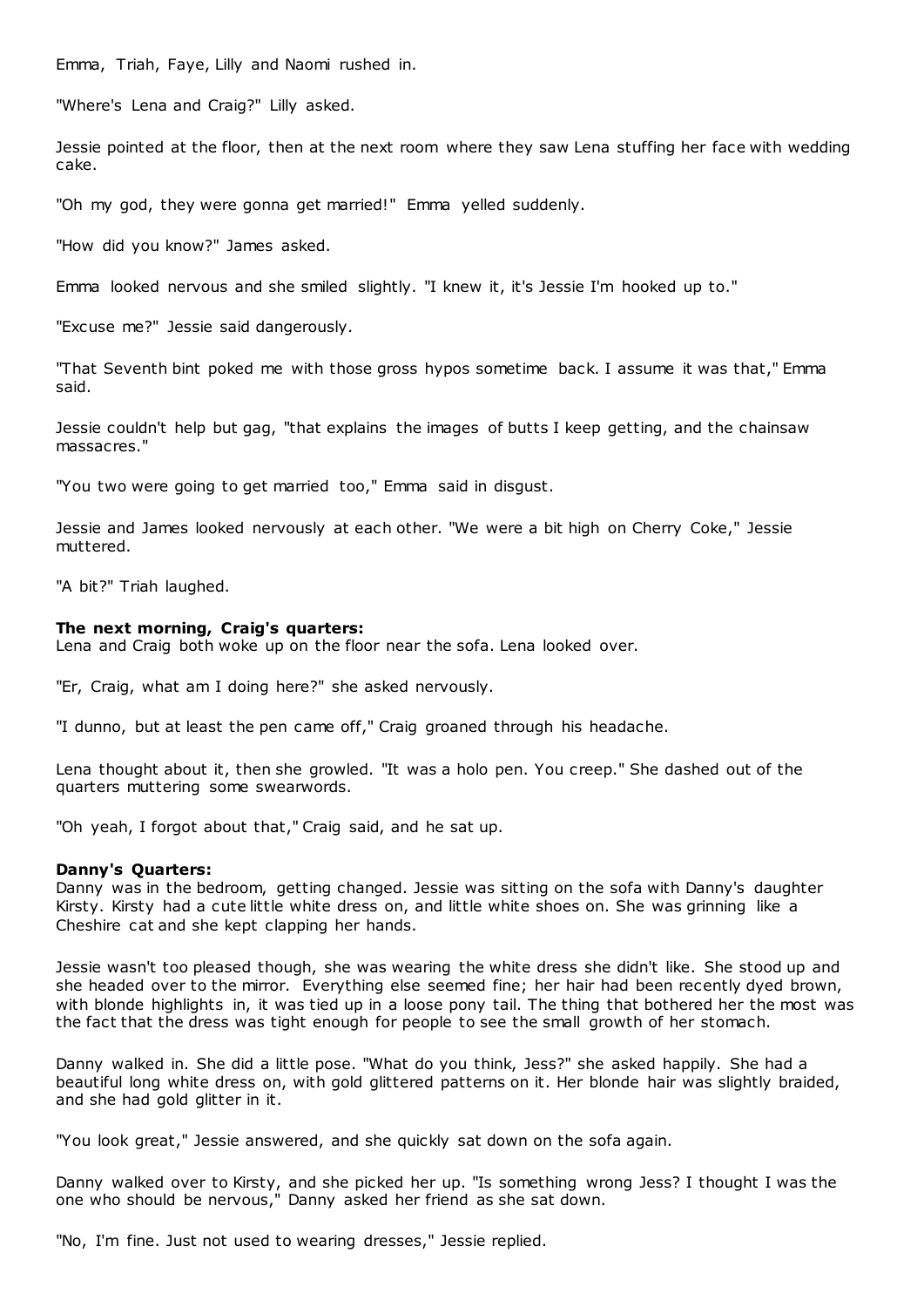Emma, Triah, Faye, Lilly and Naomi rushed in.

"Where's Lena and Craig?" Lilly asked.

Jessie pointed at the floor, then at the next room where they saw Lena stuffing her face with wedding cake.

"Oh my god, they were gonna get married!" Emma yelled suddenly.

"How did you know?" James asked.

Emma looked nervous and she smiled slightly. "I knew it, it's Jessie I'm hooked up to."

"Excuse me?" Jessie said dangerously.

"That Seventh bint poked me with those gross hypos sometime back. I assume it was that," Emma said.

Jessie couldn't help but gag, "that explains the images of butts I keep getting, and the chainsaw massacres."

"You two were going to get married too," Emma said in disgust.

Jessie and James looked nervously at each other. "We were a bit high on Cherry Coke," Jessie muttered.

"A bit?" Triah laughed.

#### **The next morning, Craig's quarters:**

Lena and Craig both woke up on the floor near the sofa. Lena looked over.

"Er, Craig, what am I doing here?" she asked nervously.

"I dunno, but at least the pen came off," Craig groaned through his headache.

Lena thought about it, then she growled. "It was a holo pen. You creep." She dashed out of the quarters muttering some swearwords.

"Oh yeah, I forgot about that," Craig said, and he sat up.

#### **Danny's Quarters:**

Danny was in the bedroom, getting changed. Jessie was sitting on the sofa with Danny's daughter Kirsty. Kirsty had a cute little white dress on, and little white shoes on. She was grinning like a Cheshire cat and she kept clapping her hands.

Jessie wasn't too pleased though, she was wearing the white dress she didn't like. She stood up and she headed over to the mirror. Everything else seemed fine; her hair had been recently dyed brown, with blonde highlights in, it was tied up in a loose pony tail. The thing that bothered her the most was the fact that the dress was tight enough for people to see the small growth of her stomach.

Danny walked in. She did a little pose. "What do you think, Jess?" she asked happily. She had a beautiful long white dress on, with gold glittered patterns on it. Her blonde hair was slightly braided, and she had gold glitter in it.

"You look great," Jessie answered, and she quickly sat down on the sofa again.

Danny walked over to Kirsty, and she picked her up. "Is something wrong Jess? I thought I was the one who should be nervous," Danny asked her friend as she sat down.

"No, I'm fine. Just not used to wearing dresses," Jessie replied.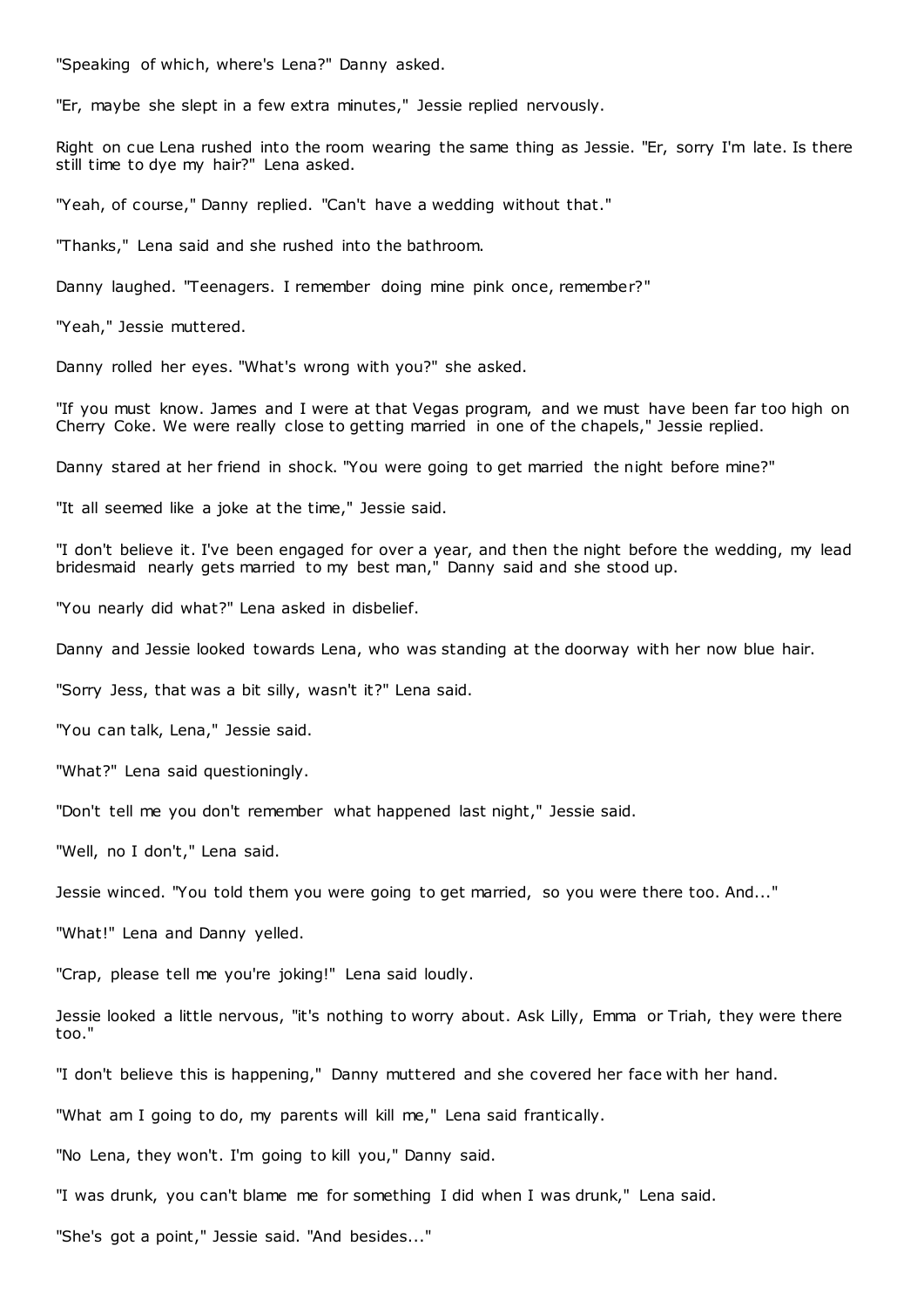"Speaking of which, where's Lena?" Danny asked.

"Er, maybe she slept in a few extra minutes," Jessie replied nervously.

Right on cue Lena rushed into the room wearing the same thing as Jessie. "Er, sorry I'm late. Is there still time to dye my hair?" Lena asked.

"Yeah, of course," Danny replied. "Can't have a wedding without that."

"Thanks," Lena said and she rushed into the bathroom.

Danny laughed. "Teenagers. I remember doing mine pink once, remember?"

"Yeah," Jessie muttered.

Danny rolled her eyes. "What's wrong with you?" she asked.

"If you must know. James and I were at that Vegas program, and we must have been far too high on Cherry Coke. We were really close to getting married in one of the chapels," Jessie replied.

Danny stared at her friend in shock. "You were going to get married the night before mine?"

"It all seemed like a joke at the time," Jessie said.

"I don't believe it. I've been engaged for over a year, and then the night before the wedding, my lead bridesmaid nearly gets married to my best man," Danny said and she stood up.

"You nearly did what?" Lena asked in disbelief.

Danny and Jessie looked towards Lena, who was standing at the doorway with her now blue hair.

"Sorry Jess, that was a bit silly, wasn't it?" Lena said.

"You can talk, Lena," Jessie said.

"What?" Lena said questioningly.

"Don't tell me you don't remember what happened last night," Jessie said.

"Well, no I don't," Lena said.

Jessie winced. "You told them you were going to get married, so you were there too. And..."

"What!" Lena and Danny yelled.

"Crap, please tell me you're joking!" Lena said loudly.

Jessie looked a little nervous, "it's nothing to worry about. Ask Lilly, Emma or Triah, they were there too."

"I don't believe this is happening," Danny muttered and she covered her face with her hand.

"What am I going to do, my parents will kill me," Lena said frantically.

"No Lena, they won't. I'm going to kill you," Danny said.

"I was drunk, you can't blame me for something I did when I was drunk," Lena said.

"She's got a point," Jessie said. "And besides..."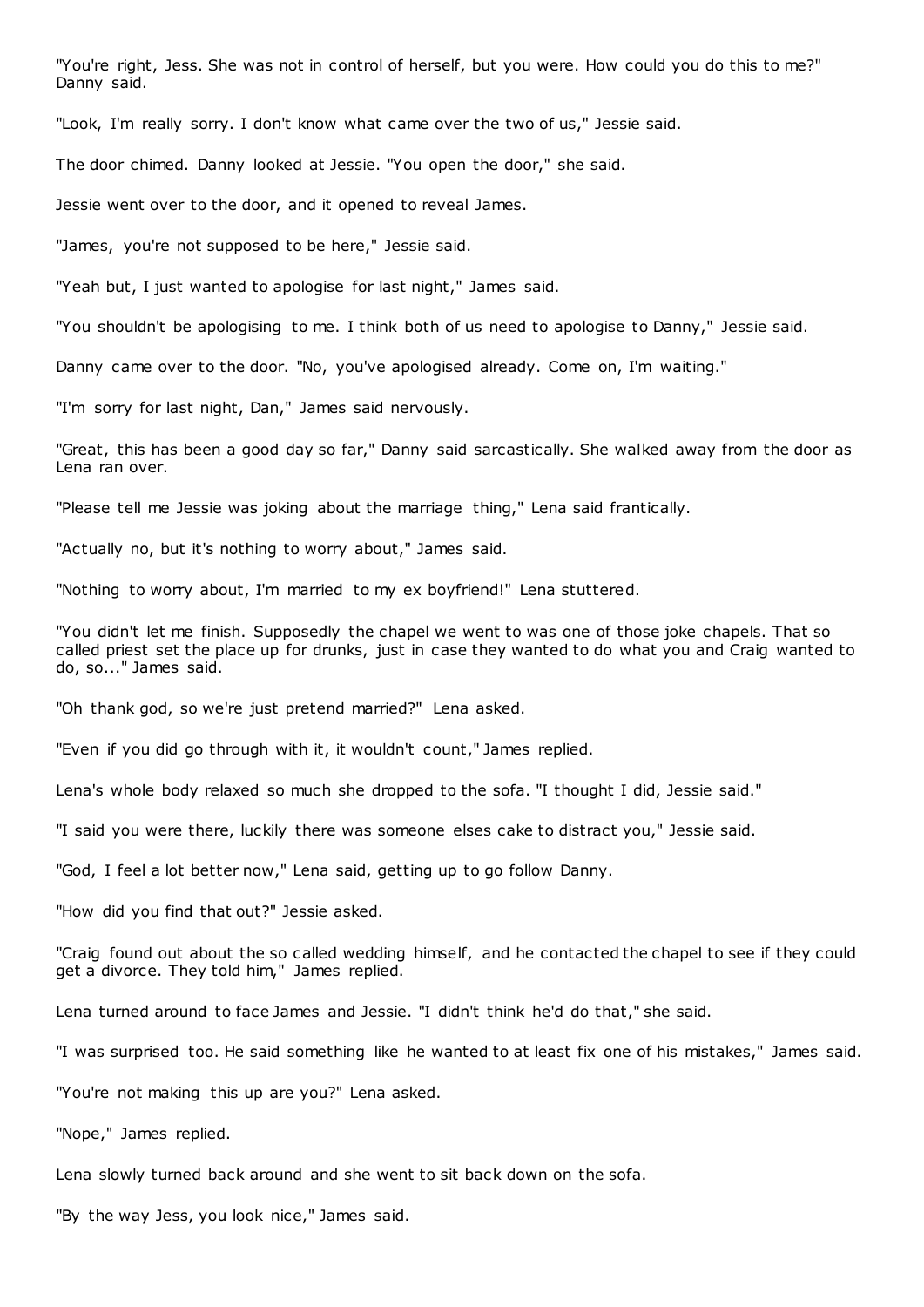"You're right, Jess. She was not in control of herself, but you were. How could you do this to me?" Danny said.

"Look, I'm really sorry. I don't know what came over the two of us," Jessie said.

The door chimed. Danny looked at Jessie. "You open the door," she said.

Jessie went over to the door, and it opened to reveal James.

"James, you're not supposed to be here," Jessie said.

"Yeah but, I just wanted to apologise for last night," James said.

"You shouldn't be apologising to me. I think both of us need to apologise to Danny," Jessie said.

Danny came over to the door. "No, you've apologised already. Come on, I'm waiting."

"I'm sorry for last night, Dan," James said nervously.

"Great, this has been a good day so far," Danny said sarcastically. She walked away from the door as Lena ran over.

"Please tell me Jessie was joking about the marriage thing," Lena said frantically.

"Actually no, but it's nothing to worry about," James said.

"Nothing to worry about, I'm married to my ex boyfriend!" Lena stuttered.

"You didn't let me finish. Supposedly the chapel we went to was one of those joke chapels. That so called priest set the place up for drunks, just in case they wanted to do what you and Craig wanted to do, so..." James said.

"Oh thank god, so we're just pretend married?" Lena asked.

"Even if you did go through with it, it wouldn't count," James replied.

Lena's whole body relaxed so much she dropped to the sofa. "I thought I did, Jessie said."

"I said you were there, luckily there was someone elses cake to distract you," Jessie said.

"God, I feel a lot better now," Lena said, getting up to go follow Danny.

"How did you find that out?" Jessie asked.

"Craig found out about the so called wedding himself, and he contacted the chapel to see if they could get a divorce. They told him," James replied.

Lena turned around to face James and Jessie. "I didn't think he'd do that," she said.

"I was surprised too. He said something like he wanted to at least fix one of his mistakes," James said.

"You're not making this up are you?" Lena asked.

"Nope," James replied.

Lena slowly turned back around and she went to sit back down on the sofa.

"By the way Jess, you look nice," James said.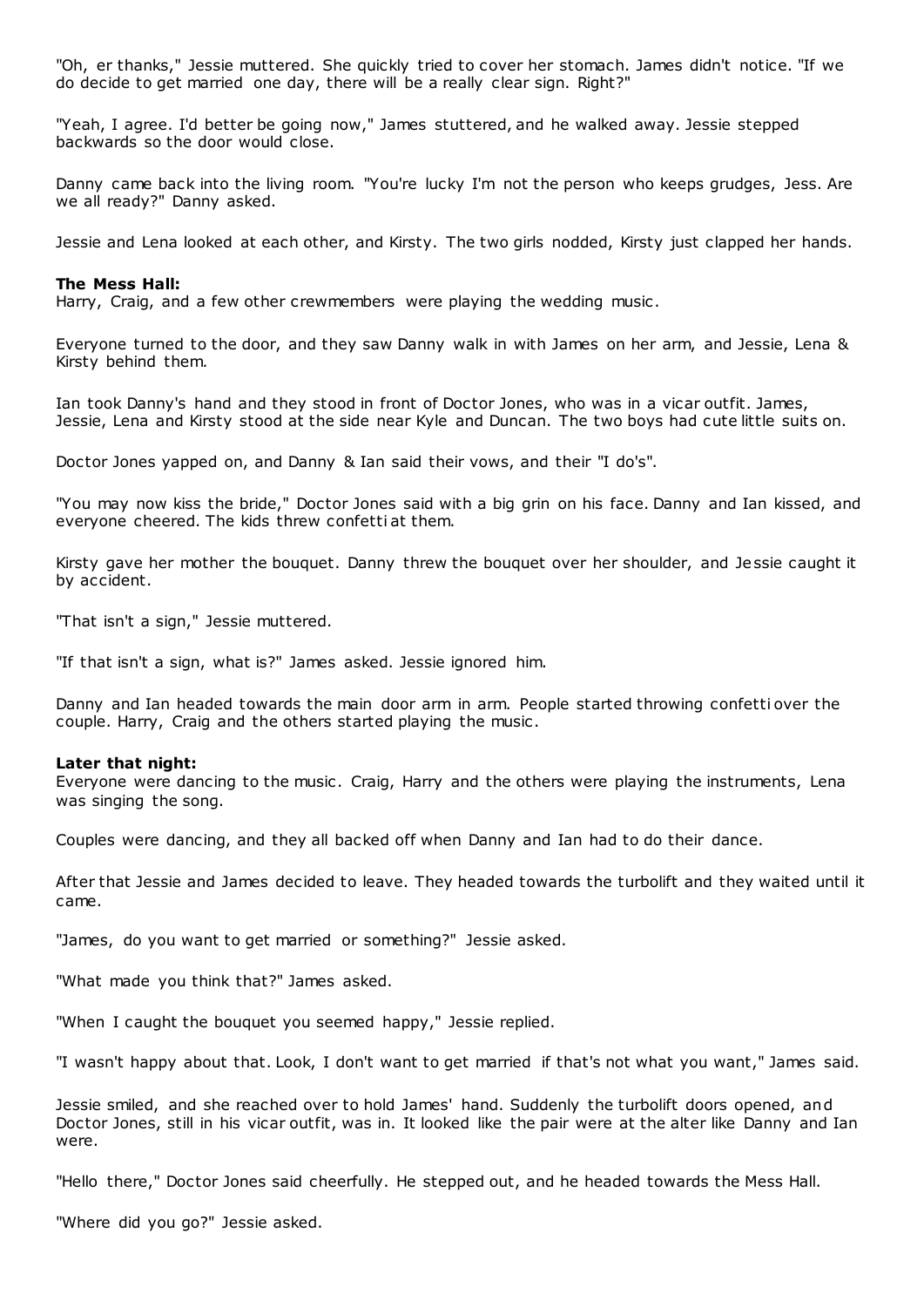"Oh, er thanks," Jessie muttered. She quickly tried to cover her stomach. James didn't notice. "If we do decide to get married one day, there will be a really clear sign. Right?"

"Yeah, I agree. I'd better be going now," James stuttered, and he walked away. Jessie stepped backwards so the door would close.

Danny came back into the living room. "You're lucky I'm not the person who keeps grudges, Jess. Are we all ready?" Danny asked.

Jessie and Lena looked at each other, and Kirsty. The two girls nodded, Kirsty just clapped her hands.

## **The Mess Hall:**

Harry, Craig, and a few other crewmembers were playing the wedding music .

Everyone turned to the door, and they saw Danny walk in with James on her arm, and Jessie, Lena & Kirsty behind them.

Ian took Danny's hand and they stood in front of Doctor Jones, who was in a vicar outfit. James, Jessie, Lena and Kirsty stood at the side near Kyle and Duncan. The two boys had cute little suits on.

Doctor Jones yapped on, and Danny & Ian said their vows, and their "I do's".

"You may now kiss the bride," Doctor Jones said with a big grin on his face. Danny and Ian kissed, and everyone cheered. The kids threw confetti at them.

Kirsty gave her mother the bouquet. Danny threw the bouquet over her shoulder, and Jessie caught it by accident.

"That isn't a sign," Jessie muttered.

"If that isn't a sign, what is?" James asked. Jessie ignored him.

Danny and Ian headed towards the main door arm in arm. People started throwing confetti over the couple. Harry, Craig and the others started playing the music .

# **Later that night:**

Everyone were dancing to the music . Craig, Harry and the others were playing the instruments, Lena was singing the song.

Couples were dancing, and they all backed off when Danny and Ian had to do their dance.

After that Jessie and James decided to leave. They headed towards the turbolift and they waited until it came.

"James, do you want to get married or something?" Jessie asked.

"What made you think that?" James asked.

"When I caught the bouquet you seemed happy," Jessie replied.

"I wasn't happy about that. Look, I don't want to get married if that's not what you want," James said.

Jessie smiled, and she reached over to hold James' hand. Suddenly the turbolift doors opened, and Doctor Jones, still in his vicar outfit, was in. It looked like the pair were at the alter like Danny and Ian were.

"Hello there," Doctor Jones said cheerfully. He stepped out, and he headed towards the Mess Hall.

"Where did you go?" Jessie asked.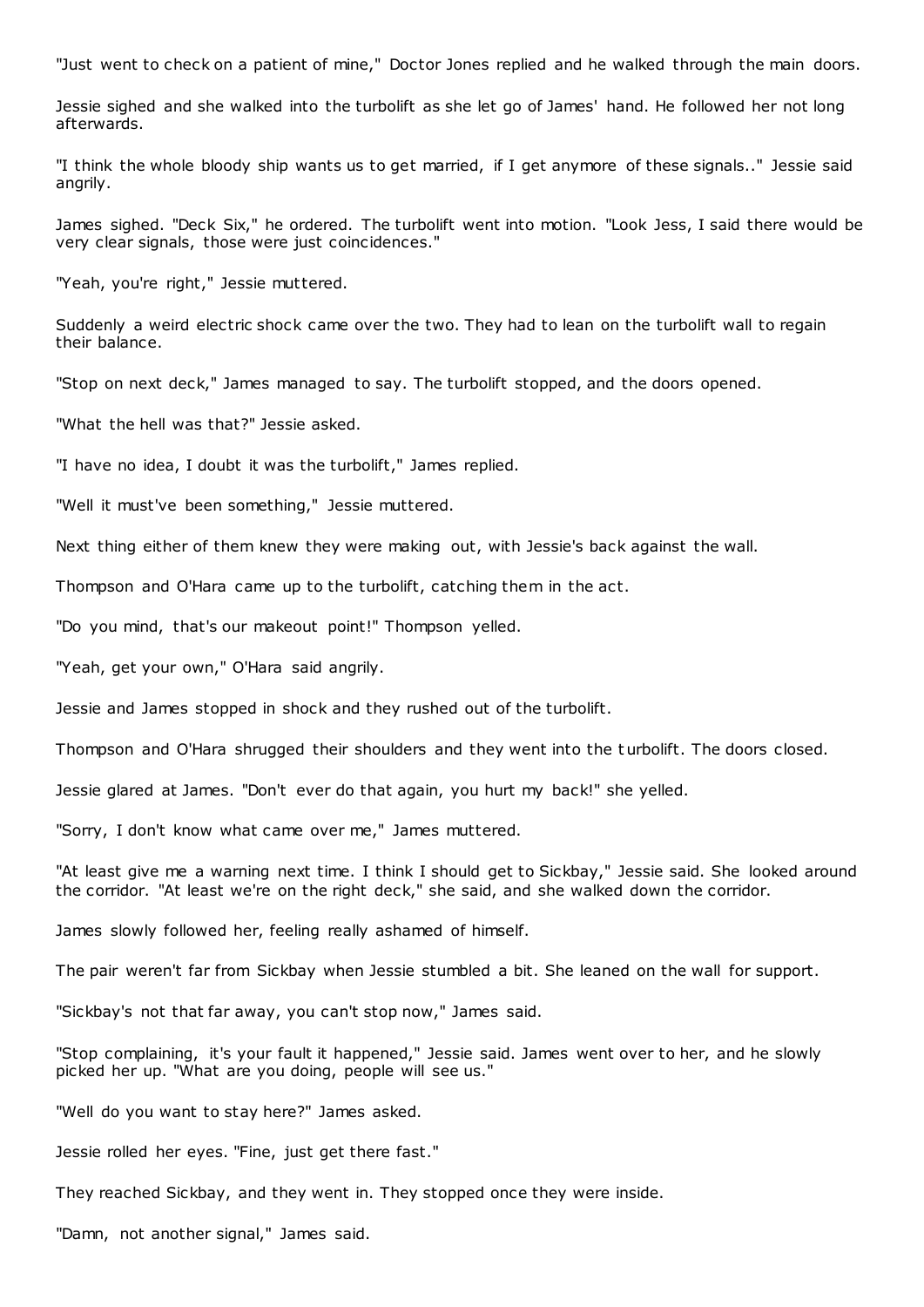"Just went to check on a patient of mine," Doctor Jones replied and he walked through the main doors.

Jessie sighed and she walked into the turbolift as she let go of James' hand. He followed her not long afterwards.

"I think the whole bloody ship wants us to get married, if I get anymore of these signals.." Jessie said angrily.

James sighed. "Deck Six," he ordered. The turbolift went into motion. "Look Jess, I said there would be very clear signals, those were just coincidences."

"Yeah, you're right," Jessie muttered.

Suddenly a weird electric shock came over the two. They had to lean on the turbolift wall to regain their balance.

"Stop on next deck," James managed to say. The turbolift stopped, and the doors opened.

"What the hell was that?" Jessie asked.

"I have no idea, I doubt it was the turbolift," James replied.

"Well it must've been something," Jessie muttered.

Next thing either of them knew they were making out, with Jessie's back against the wall.

Thompson and O'Hara came up to the turbolift, catching them in the act.

"Do you mind, that's our makeout point!" Thompson yelled.

"Yeah, get your own," O'Hara said angrily.

Jessie and James stopped in shock and they rushed out of the turbolift.

Thompson and O'Hara shrugged their shoulders and they went into the t urbolift. The doors closed.

Jessie glared at James. "Don't ever do that again, you hurt my back!" she yelled.

"Sorry, I don't know what came over me," James muttered.

"At least give me a warning next time. I think I should get to Sickbay," Jessie said. She looked around the corridor. "At least we're on the right deck," she said, and she walked down the corridor.

James slowly followed her, feeling really ashamed of himself.

The pair weren't far from Sickbay when Jessie stumbled a bit. She leaned on the wall for support.

"Sickbay's not that far away, you can't stop now," James said.

"Stop complaining, it's your fault it happened," Jessie said. James went over to her, and he slowly picked her up. "What are you doing, people will see us."

"Well do you want to stay here?" James asked.

Jessie rolled her eyes. "Fine, just get there fast."

They reached Sickbay, and they went in. They stopped once they were inside.

"Damn, not another signal," James said.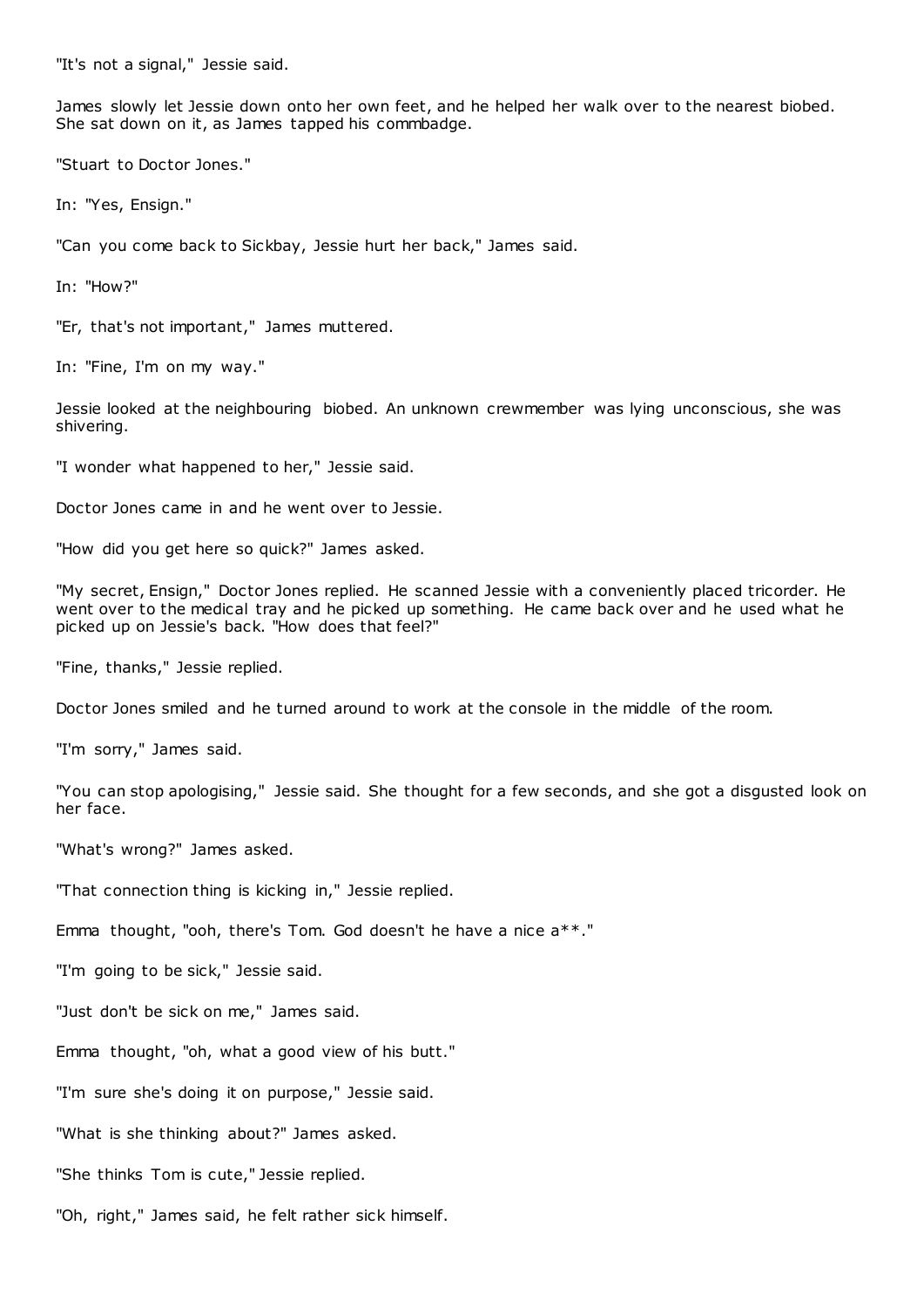"It's not a signal," Jessie said.

James slowly let Jessie down onto her own feet, and he helped her walk over to the nearest biobed. She sat down on it, as James tapped his commbadge.

"Stuart to Doctor Jones."

In: "Yes, Ensign."

"Can you come back to Sickbay, Jessie hurt her back," James said.

In: "How?"

"Er, that's not important," James muttered.

In: "Fine, I'm on my way."

Jessie looked at the neighbouring biobed. An unknown crewmember was lying unconscious, she was shivering.

"I wonder what happened to her," Jessie said.

Doctor Jones came in and he went over to Jessie.

"How did you get here so quick?" James asked.

"My secret, Ensign," Doctor Jones replied. He scanned Jessie with a conveniently placed tricorder. He went over to the medical tray and he picked up something. He came back over and he used what he picked up on Jessie's back. "How does that feel?"

"Fine, thanks," Jessie replied.

Doctor Jones smiled and he turned around to work at the console in the middle of the room.

"I'm sorry," James said.

"You can stop apologising," Jessie said. She thought for a few seconds, and she got a disgusted look on her face.

"What's wrong?" James asked.

"That connection thing is kicking in," Jessie replied.

Emma thought, "ooh, there's Tom. God doesn't he have a nice a\*\*."

"I'm going to be sick," Jessie said.

"Just don't be sick on me," James said.

Emma thought, "oh, what a good view of his butt."

"I'm sure she's doing it on purpose," Jessie said.

"What is she thinking about?" James asked.

"She thinks Tom is cute," Jessie replied.

"Oh, right," James said, he felt rather sick himself.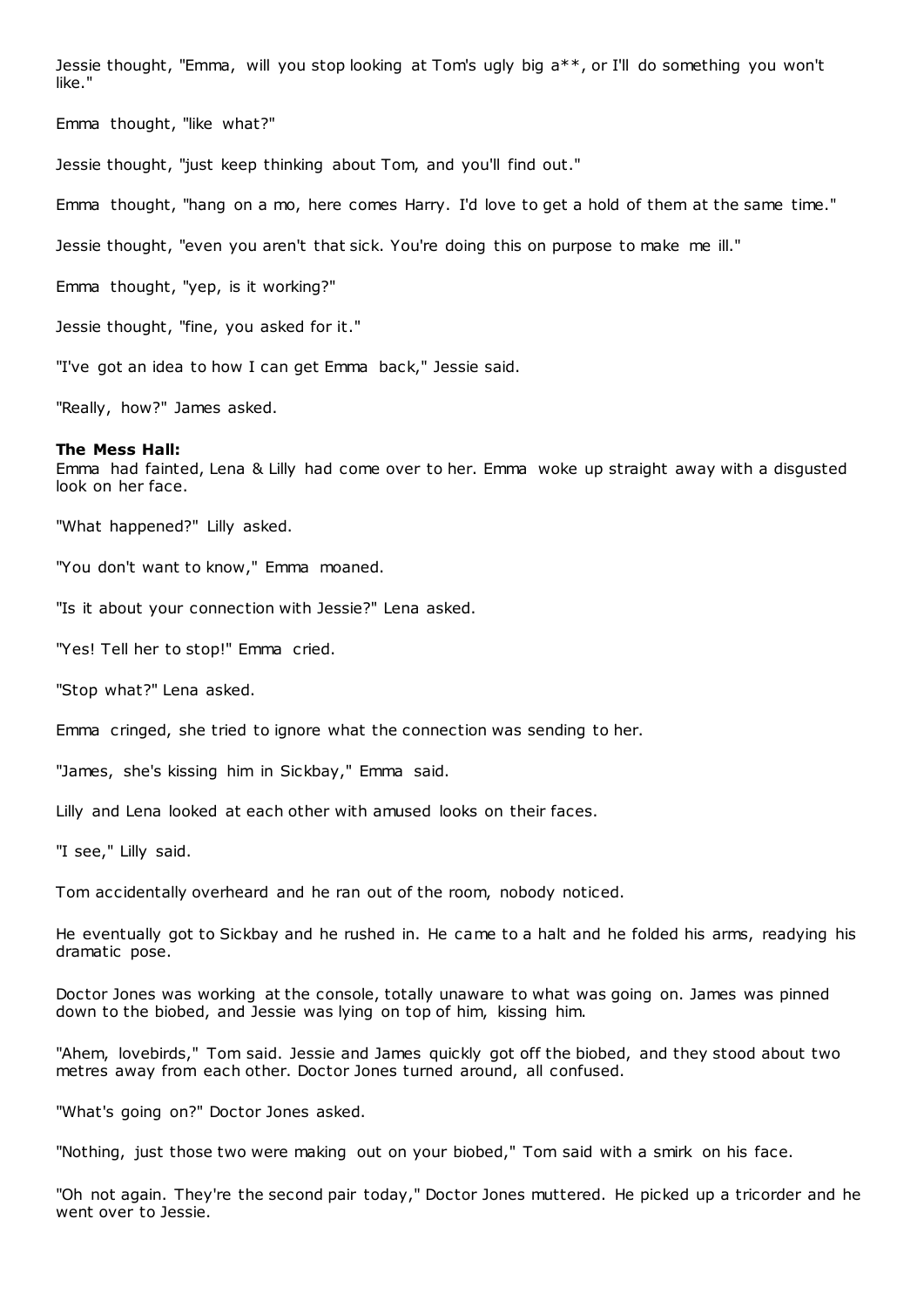Jessie thought, "Emma, will you stop looking at Tom's ugly big a\*\*, or I'll do something you won't like."

Emma thought, "like what?"

Jessie thought, "just keep thinking about Tom, and you'll find out."

Emma thought, "hang on a mo, here comes Harry. I'd love to get a hold of them at the same time."

Jessie thought, "even you aren't that sick. You're doing this on purpose to make me ill."

Emma thought, "yep, is it working?"

Jessie thought, "fine, you asked for it."

"I've got an idea to how I can get Emma back," Jessie said.

"Really, how?" James asked.

#### **The Mess Hall:**

Emma had fainted, Lena & Lilly had come over to her. Emma woke up straight away with a disgusted look on her face.

"What happened?" Lilly asked.

"You don't want to know," Emma moaned.

"Is it about your connection with Jessie?" Lena asked.

"Yes! Tell her to stop!" Emma cried.

"Stop what?" Lena asked.

Emma cringed, she tried to ignore what the connection was sending to her.

"James, she's kissing him in Sickbay," Emma said.

Lilly and Lena looked at each other with amused looks on their faces.

"I see," Lilly said.

Tom accidentally overheard and he ran out of the room, nobody noticed.

He eventually got to Sickbay and he rushed in. He came to a halt and he folded his arms, readying his dramatic pose.

Doctor Jones was working at the console, totally unaware to what was going on. James was pinned down to the biobed, and Jessie was lying on top of him, kissing him.

"Ahem, lovebirds," Tom said. Jessie and James quickly got off the biobed, and they stood about two metres away from each other. Doctor Jones turned around, all confused.

"What's going on?" Doctor Jones asked.

"Nothing, just those two were making out on your biobed," Tom said with a smirk on his face.

"Oh not again. They're the second pair today," Doctor Jones muttered. He picked up a tricorder and he went over to Jessie.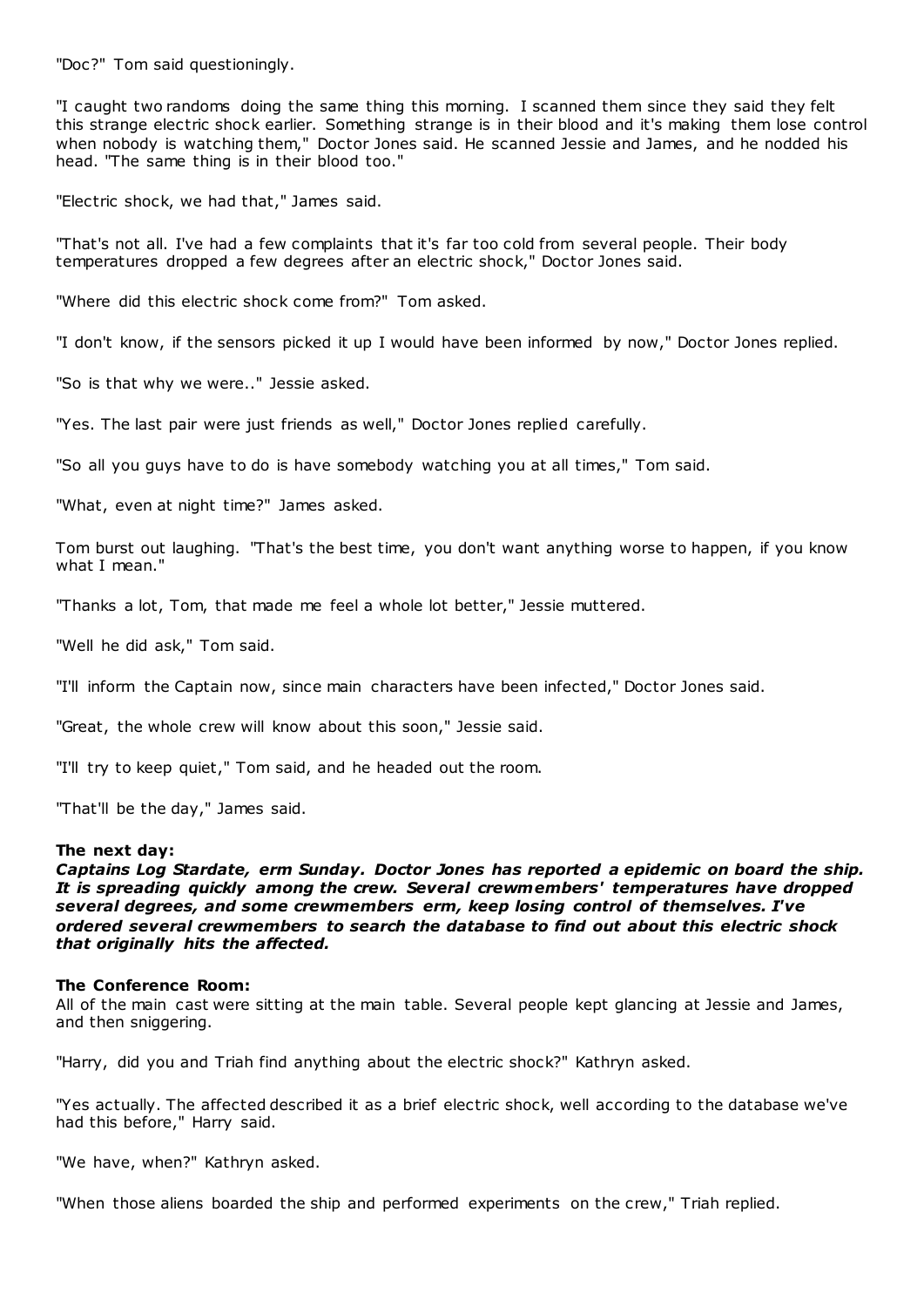"Doc?" Tom said questioningly.

"I caught two randoms doing the same thing this morning. I scanned them since they said they felt this strange electric shock earlier. Something strange is in their blood and it's making them lose control when nobody is watching them," Doctor Jones said. He scanned Jessie and James, and he nodded his head. "The same thing is in their blood too."

"Electric shock, we had that," James said.

"That's not all. I've had a few complaints that it's far too cold from several people. Their body temperatures dropped a few degrees after an electric shock," Doctor Jones said.

"Where did this electric shock come from?" Tom asked.

"I don't know, if the sensors picked it up I would have been informed by now," Doctor Jones replied.

"So is that why we were.." Jessie asked.

"Yes. The last pair were just friends as well," Doctor Jones replied carefully.

"So all you guys have to do is have somebody watching you at all times," Tom said.

"What, even at night time?" James asked.

Tom burst out laughing. "That's the best time, you don't want anything worse to happen, if you know what I mean."

"Thanks a lot, Tom, that made me feel a whole lot better," Jessie muttered.

"Well he did ask," Tom said.

"I'll inform the Captain now, since main characters have been infected," Doctor Jones said.

"Great, the whole crew will know about this soon," Jessie said.

"I'll try to keep quiet," Tom said, and he headed out the room.

"That'll be the day," James said.

# **The next day:**

*Captains Log Stardate, erm Sunday. Doctor Jones has reported a epidemic on board the ship. It is spreading quickly among the crew. Several crewmembers' temperatures have dropped several degrees, and some crewmembers erm, keep losing control of themselves. I've ordered several crewmembers to search the database to find out about this electric shock that originally hits the affected.*

# **The Conference Room:**

All of the main cast were sitting at the main table. Several people kept glancing at Jessie and James, and then sniggering.

"Harry, did you and Triah find anything about the electric shock?" Kathryn asked.

"Yes actually. The affected described it as a brief electric shock, well according to the database we've had this before," Harry said.

"We have, when?" Kathryn asked.

"When those aliens boarded the ship and performed experiments on the crew," Triah replied.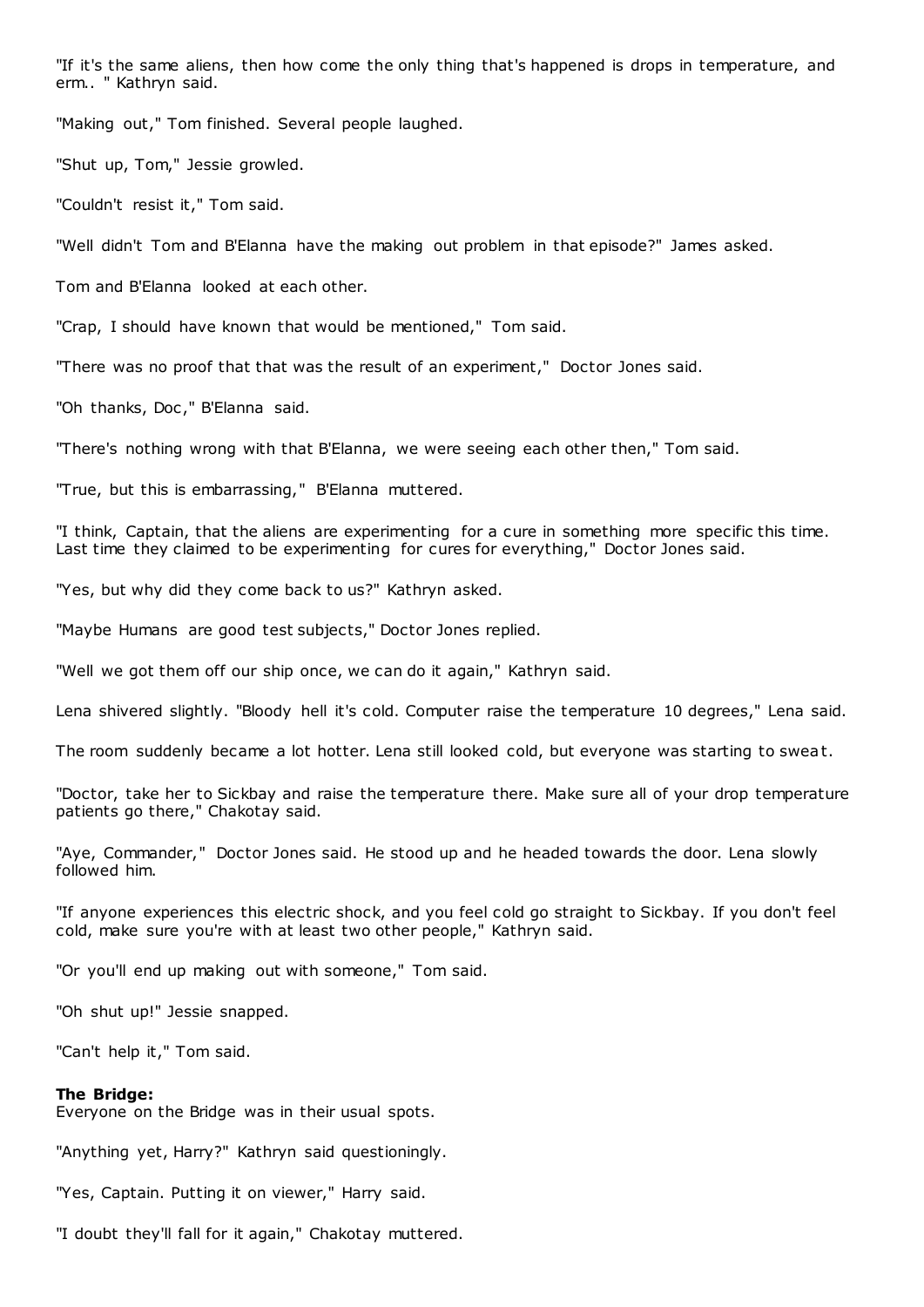"If it's the same aliens, then how come the only thing that's happened is drops in temperature, and erm.. " Kathryn said.

"Making out," Tom finished. Several people laughed.

"Shut up, Tom," Jessie growled.

"Couldn't resist it," Tom said.

"Well didn't Tom and B'Elanna have the making out problem in that episode?" James asked.

Tom and B'Elanna looked at each other.

"Crap, I should have known that would be mentioned," Tom said.

"There was no proof that that was the result of an experiment," Doctor Jones said.

"Oh thanks, Doc," B'Elanna said.

"There's nothing wrong with that B'Elanna, we were seeing each other then," Tom said.

"True, but this is embarrassing," B'Elanna muttered.

"I think, Captain, that the aliens are experimenting for a cure in something more specific this time. Last time they claimed to be experimenting for cures for everything," Doctor Jones said.

"Yes, but why did they come back to us?" Kathryn asked.

"Maybe Humans are good test subjects," Doctor Jones replied.

"Well we got them off our ship once, we can do it again," Kathryn said.

Lena shivered slightly. "Bloody hell it's cold. Computer raise the temperature 10 degrees," Lena said.

The room suddenly became a lot hotter. Lena still looked cold, but everyone was starting to sweat.

"Doctor, take her to Sickbay and raise the temperature there. Make sure all of your drop temperature patients go there," Chakotay said.

"Aye, Commander," Doctor Jones said. He stood up and he headed towards the door. Lena slowly followed him.

"If anyone experiences this electric shock, and you feel cold go straight to Sickbay. If you don't feel cold, make sure you're with at least two other people," Kathryn said.

"Or you'll end up making out with someone," Tom said.

"Oh shut up!" Jessie snapped.

"Can't help it," Tom said.

#### **The Bridge:**

Everyone on the Bridge was in their usual spots.

"Anything yet, Harry?" Kathryn said questioningly.

"Yes, Captain. Putting it on viewer," Harry said.

"I doubt they'll fall for it again," Chakotay muttered.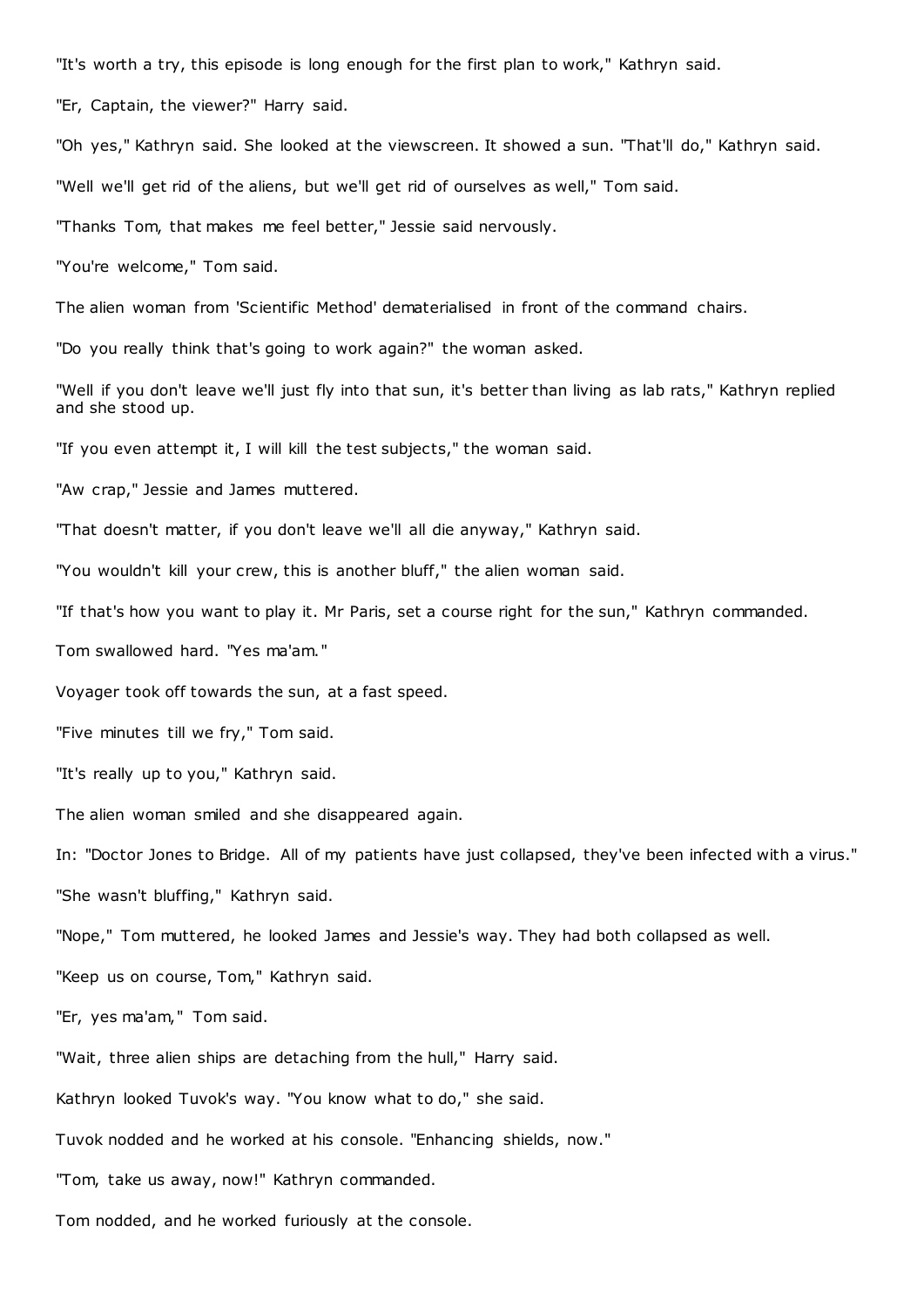"It's worth a try, this episode is long enough for the first plan to work," Kathryn said.

"Er, Captain, the viewer?" Harry said.

"Oh yes," Kathryn said. She looked at the viewscreen. It showed a sun. "That'll do," Kathryn said.

"Well we'll get rid of the aliens, but we'll get rid of ourselves as well," Tom said.

"Thanks Tom, that makes me feel better," Jessie said nervously.

"You're welcome," Tom said.

The alien woman from 'Scientific Method' dematerialised in front of the command chairs.

"Do you really think that's going to work again?" the woman asked.

"Well if you don't leave we'll just fly into that sun, it's better than living as lab rats," Kathryn replied and she stood up.

"If you even attempt it, I will kill the test subjects," the woman said.

"Aw crap," Jessie and James muttered.

"That doesn't matter, if you don't leave we'll all die anyway," Kathryn said.

"You wouldn't kill your crew, this is another bluff," the alien woman said.

"If that's how you want to play it. Mr Paris, set a course right for the sun," Kathryn commanded.

Tom swallowed hard. "Yes ma'am."

Voyager took off towards the sun, at a fast speed.

"Five minutes till we fry," Tom said.

"It's really up to you," Kathryn said.

The alien woman smiled and she disappeared again.

In: "Doctor Jones to Bridge. All of my patients have just collapsed, they've been infected with a virus." "She wasn't bluffing," Kathryn said.

"Nope," Tom muttered, he looked James and Jessie's way. They had both collapsed as well.

"Keep us on course, Tom," Kathryn said.

"Er, yes ma'am," Tom said.

"Wait, three alien ships are detaching from the hull," Harry said.

Kathryn looked Tuvok's way. "You know what to do," she said.

Tuvok nodded and he worked at his console. "Enhancing shields, now."

"Tom, take us away, now!" Kathryn commanded.

Tom nodded, and he worked furiously at the console.